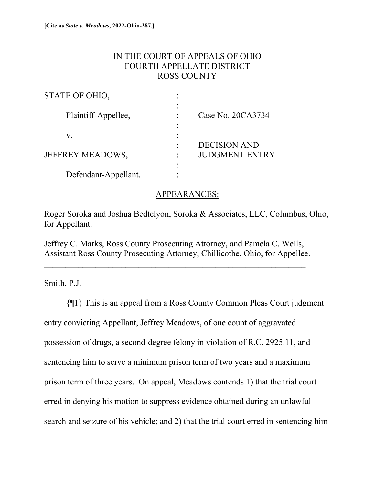## IN THE COURT OF APPEALS OF OHIO FOURTH APPELLATE DISTRICT ROSS COUNTY

| STATE OF OHIO,          |                                     |                                              |
|-------------------------|-------------------------------------|----------------------------------------------|
| Plaintiff-Appellee,     | $\bullet$                           | Case No. 20CA3734                            |
| V.                      |                                     |                                              |
| <b>JEFFREY MEADOWS,</b> | $\bullet$<br>$\bullet$<br>$\bullet$ | <b>DECISION AND</b><br><b>JUDGMENT ENTRY</b> |
| Defendant-Appellant.    |                                     |                                              |

## APPEARANCES:

Roger Soroka and Joshua Bedtelyon, Soroka & Associates, LLC, Columbus, Ohio, for Appellant.

Jeffrey C. Marks, Ross County Prosecuting Attorney, and Pamela C. Wells, Assistant Ross County Prosecuting Attorney, Chillicothe, Ohio, for Appellee.

Smith, P.J.

{¶1} This is an appeal from a Ross County Common Pleas Court judgment entry convicting Appellant, Jeffrey Meadows, of one count of aggravated possession of drugs, a second-degree felony in violation of R.C. 2925.11, and sentencing him to serve a minimum prison term of two years and a maximum prison term of three years. On appeal, Meadows contends 1) that the trial court erred in denying his motion to suppress evidence obtained during an unlawful search and seizure of his vehicle; and 2) that the trial court erred in sentencing him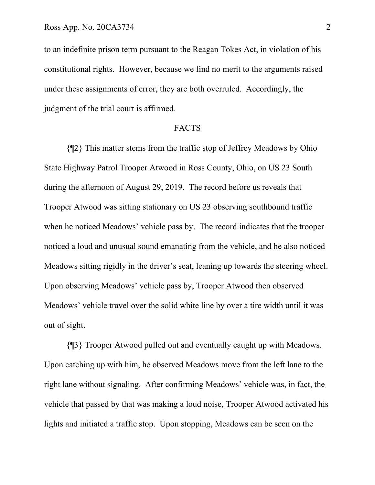to an indefinite prison term pursuant to the Reagan Tokes Act, in violation of his constitutional rights. However, because we find no merit to the arguments raised under these assignments of error, they are both overruled. Accordingly, the judgment of the trial court is affirmed.

#### FACTS

 {¶2} This matter stems from the traffic stop of Jeffrey Meadows by Ohio State Highway Patrol Trooper Atwood in Ross County, Ohio, on US 23 South during the afternoon of August 29, 2019. The record before us reveals that Trooper Atwood was sitting stationary on US 23 observing southbound traffic when he noticed Meadows' vehicle pass by. The record indicates that the trooper noticed a loud and unusual sound emanating from the vehicle, and he also noticed Meadows sitting rigidly in the driver's seat, leaning up towards the steering wheel. Upon observing Meadows' vehicle pass by, Trooper Atwood then observed Meadows' vehicle travel over the solid white line by over a tire width until it was out of sight.

 {¶3} Trooper Atwood pulled out and eventually caught up with Meadows. Upon catching up with him, he observed Meadows move from the left lane to the right lane without signaling. After confirming Meadows' vehicle was, in fact, the vehicle that passed by that was making a loud noise, Trooper Atwood activated his lights and initiated a traffic stop. Upon stopping, Meadows can be seen on the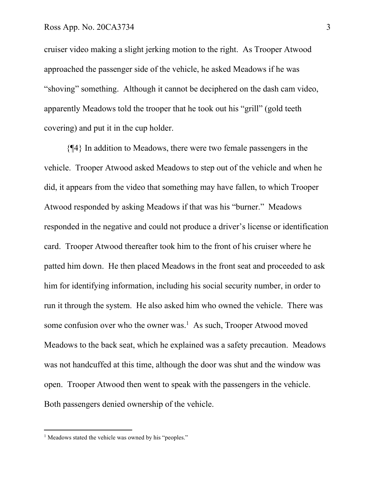cruiser video making a slight jerking motion to the right. As Trooper Atwood approached the passenger side of the vehicle, he asked Meadows if he was "shoving" something. Although it cannot be deciphered on the dash cam video, apparently Meadows told the trooper that he took out his "grill" (gold teeth covering) and put it in the cup holder.

 {¶4} In addition to Meadows, there were two female passengers in the vehicle. Trooper Atwood asked Meadows to step out of the vehicle and when he did, it appears from the video that something may have fallen, to which Trooper Atwood responded by asking Meadows if that was his "burner." Meadows responded in the negative and could not produce a driver's license or identification card. Trooper Atwood thereafter took him to the front of his cruiser where he patted him down. He then placed Meadows in the front seat and proceeded to ask him for identifying information, including his social security number, in order to run it through the system. He also asked him who owned the vehicle. There was some confusion over who the owner was.<sup>1</sup> As such, Trooper Atwood moved Meadows to the back seat, which he explained was a safety precaution. Meadows was not handcuffed at this time, although the door was shut and the window was open. Trooper Atwood then went to speak with the passengers in the vehicle. Both passengers denied ownership of the vehicle.

<sup>&</sup>lt;sup>1</sup> Meadows stated the vehicle was owned by his "peoples."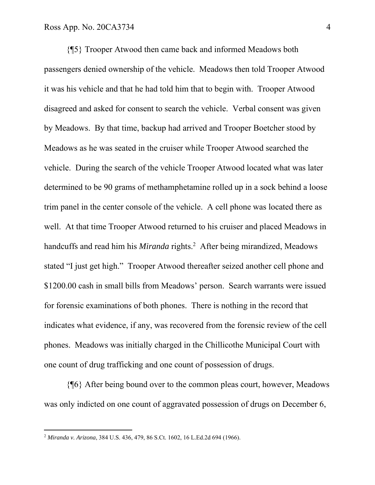{¶5} Trooper Atwood then came back and informed Meadows both passengers denied ownership of the vehicle. Meadows then told Trooper Atwood it was his vehicle and that he had told him that to begin with. Trooper Atwood disagreed and asked for consent to search the vehicle. Verbal consent was given by Meadows. By that time, backup had arrived and Trooper Boetcher stood by Meadows as he was seated in the cruiser while Trooper Atwood searched the vehicle. During the search of the vehicle Trooper Atwood located what was later determined to be 90 grams of methamphetamine rolled up in a sock behind a loose trim panel in the center console of the vehicle. A cell phone was located there as well. At that time Trooper Atwood returned to his cruiser and placed Meadows in handcuffs and read him his *Miranda* rights.<sup>2</sup> After being mirandized, Meadows stated "I just get high." Trooper Atwood thereafter seized another cell phone and \$1200.00 cash in small bills from Meadows' person. Search warrants were issued for forensic examinations of both phones. There is nothing in the record that indicates what evidence, if any, was recovered from the forensic review of the cell phones. Meadows was initially charged in the Chillicothe Municipal Court with one count of drug trafficking and one count of possession of drugs.

 {¶6} After being bound over to the common pleas court, however, Meadows was only indicted on one count of aggravated possession of drugs on December 6,

<sup>2</sup> *Miranda v. Arizona*, 384 U.S. 436, 479, 86 S.Ct. 1602, 16 L.Ed.2d 694 (1966).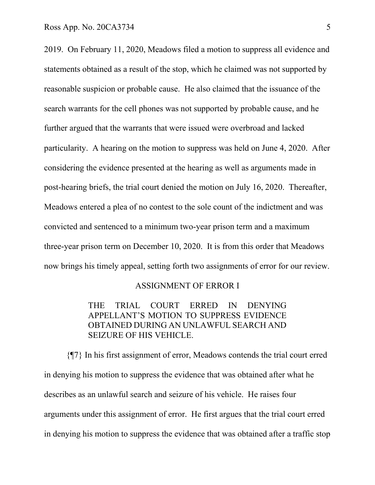2019. On February 11, 2020, Meadows filed a motion to suppress all evidence and statements obtained as a result of the stop, which he claimed was not supported by reasonable suspicion or probable cause. He also claimed that the issuance of the search warrants for the cell phones was not supported by probable cause, and he further argued that the warrants that were issued were overbroad and lacked particularity. A hearing on the motion to suppress was held on June 4, 2020. After considering the evidence presented at the hearing as well as arguments made in post-hearing briefs, the trial court denied the motion on July 16, 2020. Thereafter, Meadows entered a plea of no contest to the sole count of the indictment and was convicted and sentenced to a minimum two-year prison term and a maximum three-year prison term on December 10, 2020. It is from this order that Meadows now brings his timely appeal, setting forth two assignments of error for our review.

### ASSIGNMENT OF ERROR I

 THE TRIAL COURT ERRED IN DENYING APPELLANT'S MOTION TO SUPPRESS EVIDENCE OBTAINED DURING AN UNLAWFUL SEARCH AND SEIZURE OF HIS VEHICLE.

 {¶7} In his first assignment of error, Meadows contends the trial court erred in denying his motion to suppress the evidence that was obtained after what he describes as an unlawful search and seizure of his vehicle. He raises four arguments under this assignment of error. He first argues that the trial court erred in denying his motion to suppress the evidence that was obtained after a traffic stop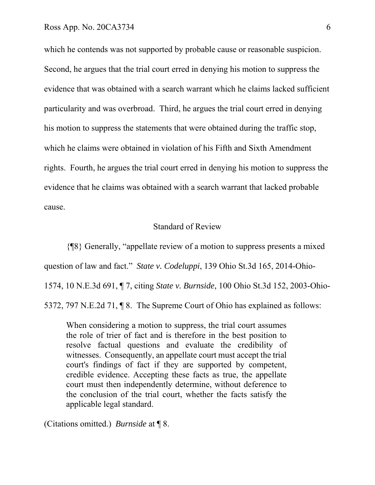which he contends was not supported by probable cause or reasonable suspicion. Second, he argues that the trial court erred in denying his motion to suppress the evidence that was obtained with a search warrant which he claims lacked sufficient particularity and was overbroad. Third, he argues the trial court erred in denying his motion to suppress the statements that were obtained during the traffic stop, which he claims were obtained in violation of his Fifth and Sixth Amendment rights. Fourth, he argues the trial court erred in denying his motion to suppress the evidence that he claims was obtained with a search warrant that lacked probable cause.

### Standard of Review

{¶8} Generally, "appellate review of a motion to suppress presents a mixed

question of law and fact." *State v. Codeluppi*, 139 Ohio St.3d 165, 2014-Ohio-

1574, 10 N.E.3d 691, ¶ 7, citing *State v. Burnside*, 100 Ohio St.3d 152, 2003-Ohio-

5372, 797 N.E.2d 71, ¶ 8. The Supreme Court of Ohio has explained as follows:

When considering a motion to suppress, the trial court assumes the role of trier of fact and is therefore in the best position to resolve factual questions and evaluate the credibility of witnesses. Consequently, an appellate court must accept the trial court's findings of fact if they are supported by competent, credible evidence. Accepting these facts as true, the appellate court must then independently determine, without deference to the conclusion of the trial court, whether the facts satisfy the applicable legal standard.

(Citations omitted.) *Burnside* at ¶ 8.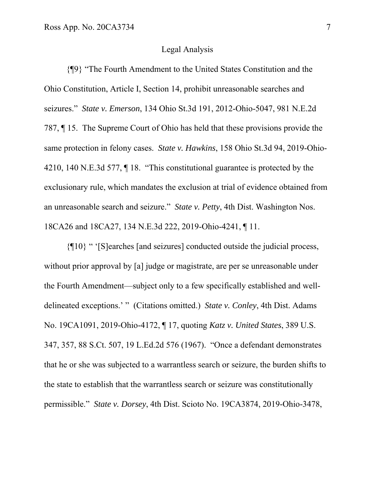#### Legal Analysis

 {¶9} "The Fourth Amendment to the United States Constitution and the Ohio Constitution, Article I, Section 14, prohibit unreasonable searches and seizures." *State v. Emerson*, 134 Ohio St.3d 191, 2012-Ohio-5047, 981 N.E.2d 787, ¶ 15. The Supreme Court of Ohio has held that these provisions provide the same protection in felony cases. *State v. Hawkins*, 158 Ohio St.3d 94, 2019-Ohio-4210, 140 N.E.3d 577, ¶ 18. "This constitutional guarantee is protected by the exclusionary rule, which mandates the exclusion at trial of evidence obtained from an unreasonable search and seizure." *State v. Petty*, 4th Dist. Washington Nos. 18CA26 and 18CA27, 134 N.E.3d 222, 2019-Ohio-4241, ¶ 11.

 {¶10} " '[S]earches [and seizures] conducted outside the judicial process, without prior approval by [a] judge or magistrate, are per se unreasonable under the Fourth Amendment—subject only to a few specifically established and welldelineated exceptions.' " (Citations omitted.) *State v. Conley*, 4th Dist. Adams No. 19CA1091, 2019-Ohio-4172, ¶ 17, quoting *Katz v. United States*, 389 U.S. 347, 357, 88 S.Ct. 507, 19 L.Ed.2d 576 (1967). "Once a defendant demonstrates that he or she was subjected to a warrantless search or seizure, the burden shifts to the state to establish that the warrantless search or seizure was constitutionally permissible." *State v. Dorsey*, 4th Dist. Scioto No. 19CA3874, 2019-Ohio-3478,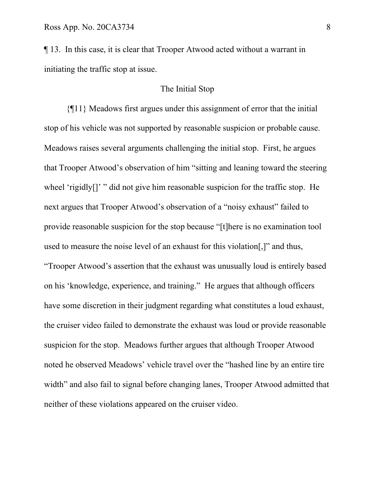¶ 13. In this case, it is clear that Trooper Atwood acted without a warrant in initiating the traffic stop at issue.

## The Initial Stop

 {¶11} Meadows first argues under this assignment of error that the initial stop of his vehicle was not supported by reasonable suspicion or probable cause. Meadows raises several arguments challenging the initial stop. First, he argues that Trooper Atwood's observation of him "sitting and leaning toward the steering wheel 'rigidly[]' " did not give him reasonable suspicion for the traffic stop. He next argues that Trooper Atwood's observation of a "noisy exhaust" failed to provide reasonable suspicion for the stop because "[t]here is no examination tool used to measure the noise level of an exhaust for this violation[,]" and thus, "Trooper Atwood's assertion that the exhaust was unusually loud is entirely based on his 'knowledge, experience, and training." He argues that although officers have some discretion in their judgment regarding what constitutes a loud exhaust, the cruiser video failed to demonstrate the exhaust was loud or provide reasonable suspicion for the stop. Meadows further argues that although Trooper Atwood noted he observed Meadows' vehicle travel over the "hashed line by an entire tire width" and also fail to signal before changing lanes, Trooper Atwood admitted that neither of these violations appeared on the cruiser video.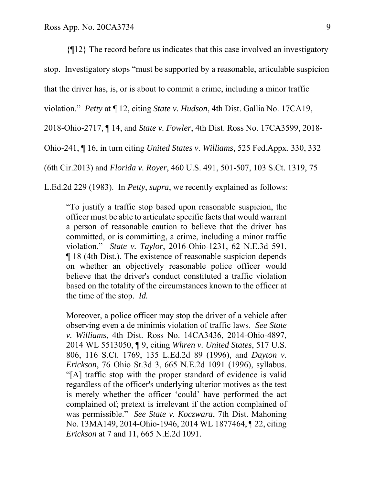{¶12} The record before us indicates that this case involved an investigatory stop. Investigatory stops "must be supported by a reasonable, articulable suspicion that the driver has, is, or is about to commit a crime, including a minor traffic violation." *Petty* at ¶ 12, citing *State v. Hudson*, 4th Dist. Gallia No. 17CA19, 2018-Ohio-2717, ¶ 14, and *State v. Fowler*, 4th Dist. Ross No. 17CA3599, 2018- Ohio-241, ¶ 16, in turn citing *United States v. Williams*, 525 Fed.Appx. 330, 332 (6th Cir.2013) and *Florida v. Royer*, 460 U.S. 491, 501-507, 103 S.Ct. 1319, 75 L.Ed.2d 229 (1983). In *Petty*, *supra*, we recently explained as follows:

"To justify a traffic stop based upon reasonable suspicion, the officer must be able to articulate specific facts that would warrant a person of reasonable caution to believe that the driver has committed, or is committing, a crime, including a minor traffic violation." *State v. Taylor*, 2016-Ohio-1231, 62 N.E.3d 591, ¶ 18 (4th Dist.). The existence of reasonable suspicion depends on whether an objectively reasonable police officer would believe that the driver's conduct constituted a traffic violation based on the totality of the circumstances known to the officer at the time of the stop. *Id.* 

Moreover, a police officer may stop the driver of a vehicle after observing even a de minimis violation of traffic laws. *See State v. Williams*, 4th Dist. Ross No. 14CA3436, 2014-Ohio-4897, 2014 WL 5513050, ¶ 9, citing *Whren v. United States*, 517 U.S. 806, 116 S.Ct. 1769, 135 L.Ed.2d 89 (1996), and *Dayton v. Erickson*, 76 Ohio St.3d 3, 665 N.E.2d 1091 (1996), syllabus. "[A] traffic stop with the proper standard of evidence is valid regardless of the officer's underlying ulterior motives as the test is merely whether the officer 'could' have performed the act complained of; pretext is irrelevant if the action complained of was permissible." *See State v. Koczwara*, 7th Dist. Mahoning No. 13MA149, 2014-Ohio-1946, 2014 WL 1877464, ¶ 22, citing *Erickson* at 7 and 11, 665 N.E.2d 1091.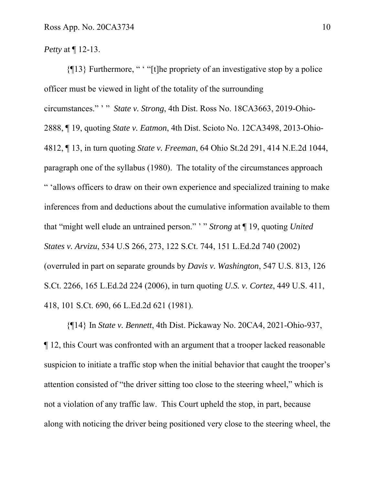*Petty* at ¶ 12-13.

 {¶13} Furthermore, " ' "[t]he propriety of an investigative stop by a police officer must be viewed in light of the totality of the surrounding circumstances." ' " *State v. Strong*, 4th Dist. Ross No. 18CA3663, 2019-Ohio-2888, ¶ 19, quoting *State v. Eatmon*, 4th Dist. Scioto No. 12CA3498, 2013-Ohio-4812, ¶ 13, in turn quoting *State v. Freeman*, 64 Ohio St.2d 291, 414 N.E.2d 1044, paragraph one of the syllabus (1980). The totality of the circumstances approach " 'allows officers to draw on their own experience and specialized training to make inferences from and deductions about the cumulative information available to them that "might well elude an untrained person." ' " *Strong* at ¶ 19, quoting *United States v. Arvizu*, 534 U.S 266, 273, 122 S.Ct. 744, 151 L.Ed.2d 740 (2002) (overruled in part on separate grounds by *Davis v. Washington*, 547 U.S. 813, 126 S.Ct. 2266, 165 L.Ed.2d 224 (2006), in turn quoting *U.S. v. Cortez*, 449 U.S. 411, 418, 101 S.Ct. 690, 66 L.Ed.2d 621 (1981).

 {¶14} In *State v. Bennett*, 4th Dist. Pickaway No. 20CA4, 2021-Ohio-937, ¶ 12, this Court was confronted with an argument that a trooper lacked reasonable suspicion to initiate a traffic stop when the initial behavior that caught the trooper's attention consisted of "the driver sitting too close to the steering wheel," which is not a violation of any traffic law. This Court upheld the stop, in part, because along with noticing the driver being positioned very close to the steering wheel, the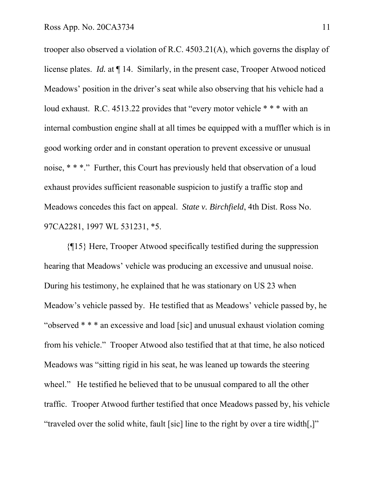trooper also observed a violation of R.C. 4503.21(A), which governs the display of license plates. *Id.* at ¶ 14. Similarly, in the present case, Trooper Atwood noticed Meadows' position in the driver's seat while also observing that his vehicle had a loud exhaust. R.C. 4513.22 provides that "every motor vehicle \* \* \* with an internal combustion engine shall at all times be equipped with a muffler which is in good working order and in constant operation to prevent excessive or unusual noise, \* \* \*." Further, this Court has previously held that observation of a loud exhaust provides sufficient reasonable suspicion to justify a traffic stop and Meadows concedes this fact on appeal. *State v. Birchfield*, 4th Dist. Ross No. 97CA2281, 1997 WL 531231, \*5.

 {¶15} Here, Trooper Atwood specifically testified during the suppression hearing that Meadows' vehicle was producing an excessive and unusual noise. During his testimony, he explained that he was stationary on US 23 when Meadow's vehicle passed by. He testified that as Meadows' vehicle passed by, he "observed \* \* \* an excessive and load [sic] and unusual exhaust violation coming from his vehicle." Trooper Atwood also testified that at that time, he also noticed Meadows was "sitting rigid in his seat, he was leaned up towards the steering wheel." He testified he believed that to be unusual compared to all the other traffic. Trooper Atwood further testified that once Meadows passed by, his vehicle "traveled over the solid white, fault [sic] line to the right by over a tire width[,]"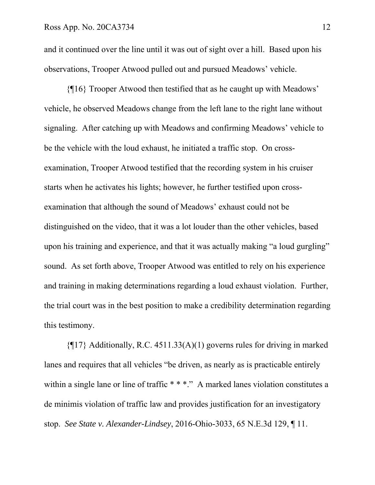and it continued over the line until it was out of sight over a hill. Based upon his observations, Trooper Atwood pulled out and pursued Meadows' vehicle.

 {¶16} Trooper Atwood then testified that as he caught up with Meadows' vehicle, he observed Meadows change from the left lane to the right lane without signaling. After catching up with Meadows and confirming Meadows' vehicle to be the vehicle with the loud exhaust, he initiated a traffic stop. On crossexamination, Trooper Atwood testified that the recording system in his cruiser starts when he activates his lights; however, he further testified upon crossexamination that although the sound of Meadows' exhaust could not be distinguished on the video, that it was a lot louder than the other vehicles, based upon his training and experience, and that it was actually making "a loud gurgling" sound. As set forth above, Trooper Atwood was entitled to rely on his experience and training in making determinations regarding a loud exhaust violation. Further, the trial court was in the best position to make a credibility determination regarding this testimony.

 ${q17}$  Additionally, R.C. 4511.33(A)(1) governs rules for driving in marked lanes and requires that all vehicles "be driven, as nearly as is practicable entirely within a single lane or line of traffic \* \* \*." A marked lanes violation constitutes a de minimis violation of traffic law and provides justification for an investigatory stop. *See State v. Alexander-Lindsey*, 2016-Ohio-3033, 65 N.E.3d 129, ¶ 11.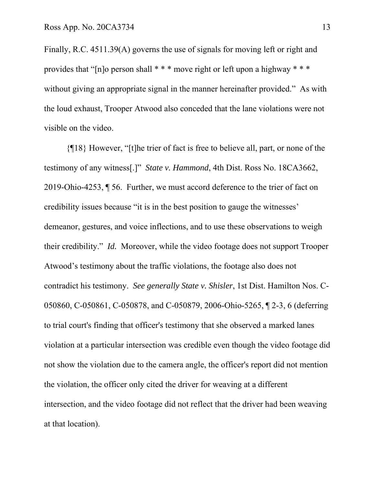Finally, R.C. 4511.39(A) governs the use of signals for moving left or right and provides that "[n]o person shall \* \* \* move right or left upon a highway \* \* \* without giving an appropriate signal in the manner hereinafter provided." As with the loud exhaust, Trooper Atwood also conceded that the lane violations were not visible on the video.

 {¶18} However, "[t]he trier of fact is free to believe all, part, or none of the testimony of any witness[.]" *State v. Hammond*, 4th Dist. Ross No. 18CA3662, 2019-Ohio-4253, ¶ 56. Further, we must accord deference to the trier of fact on credibility issues because "it is in the best position to gauge the witnesses' demeanor, gestures, and voice inflections, and to use these observations to weigh their credibility." *Id.* Moreover, while the video footage does not support Trooper Atwood's testimony about the traffic violations, the footage also does not contradict his testimony. *See generally State v. Shisler*, 1st Dist. Hamilton Nos. C-050860, C-050861, C-050878, and C-050879, 2006-Ohio-5265, ¶ 2-3, 6 (deferring to trial court's finding that officer's testimony that she observed a marked lanes violation at a particular intersection was credible even though the video footage did not show the violation due to the camera angle, the officer's report did not mention the violation, the officer only cited the driver for weaving at a different intersection, and the video footage did not reflect that the driver had been weaving at that location).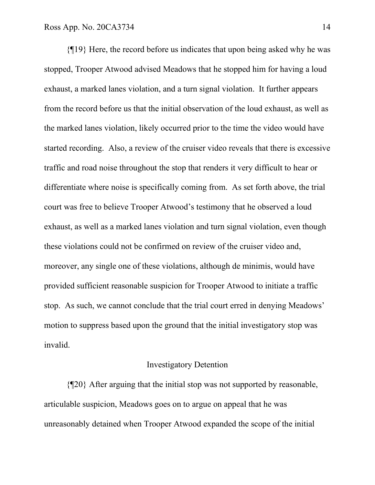{¶19} Here, the record before us indicates that upon being asked why he was stopped, Trooper Atwood advised Meadows that he stopped him for having a loud exhaust, a marked lanes violation, and a turn signal violation. It further appears from the record before us that the initial observation of the loud exhaust, as well as the marked lanes violation, likely occurred prior to the time the video would have started recording. Also, a review of the cruiser video reveals that there is excessive traffic and road noise throughout the stop that renders it very difficult to hear or differentiate where noise is specifically coming from. As set forth above, the trial court was free to believe Trooper Atwood's testimony that he observed a loud exhaust, as well as a marked lanes violation and turn signal violation, even though these violations could not be confirmed on review of the cruiser video and, moreover, any single one of these violations, although de minimis, would have provided sufficient reasonable suspicion for Trooper Atwood to initiate a traffic stop. As such, we cannot conclude that the trial court erred in denying Meadows' motion to suppress based upon the ground that the initial investigatory stop was invalid.

### Investigatory Detention

 {¶20} After arguing that the initial stop was not supported by reasonable, articulable suspicion, Meadows goes on to argue on appeal that he was unreasonably detained when Trooper Atwood expanded the scope of the initial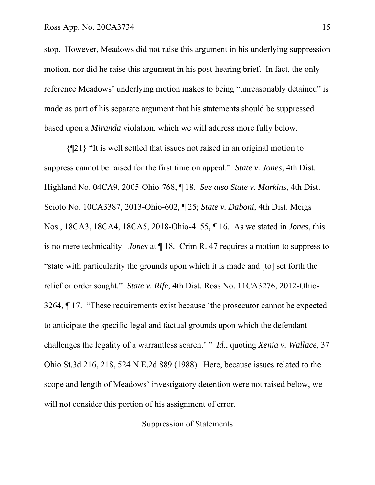stop. However, Meadows did not raise this argument in his underlying suppression motion, nor did he raise this argument in his post-hearing brief. In fact, the only reference Meadows' underlying motion makes to being "unreasonably detained" is made as part of his separate argument that his statements should be suppressed based upon a *Miranda* violation, which we will address more fully below.

 {¶21} "It is well settled that issues not raised in an original motion to suppress cannot be raised for the first time on appeal." *State v. Jones*, 4th Dist. Highland No. 04CA9, 2005-Ohio-768, ¶ 18. *See also State v. Markins*, 4th Dist. Scioto No. 10CA3387, 2013-Ohio-602, ¶ 25; *State v. Daboni*, 4th Dist. Meigs Nos., 18CA3, 18CA4, 18CA5, 2018-Ohio-4155, ¶ 16. As we stated in *Jones*, this is no mere technicality. *Jones* at ¶ 18*.* Crim.R. 47 requires a motion to suppress to "state with particularity the grounds upon which it is made and [to] set forth the relief or order sought." *State v. Rife*, 4th Dist. Ross No. 11CA3276, 2012-Ohio-3264, ¶ 17. "These requirements exist because 'the prosecutor cannot be expected to anticipate the specific legal and factual grounds upon which the defendant challenges the legality of a warrantless search.' " *Id.*, quoting *Xenia v. Wallace*, 37 Ohio St.3d 216, 218, 524 N.E.2d 889 (1988). Here, because issues related to the scope and length of Meadows' investigatory detention were not raised below, we will not consider this portion of his assignment of error.

Suppression of Statements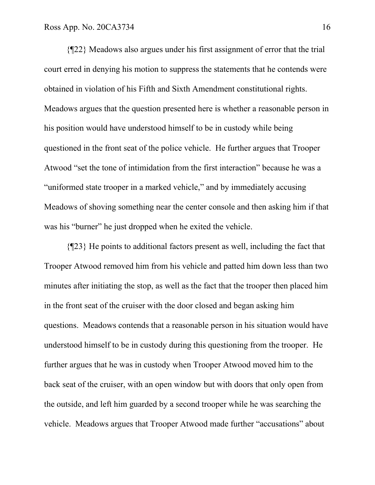{¶22} Meadows also argues under his first assignment of error that the trial court erred in denying his motion to suppress the statements that he contends were obtained in violation of his Fifth and Sixth Amendment constitutional rights. Meadows argues that the question presented here is whether a reasonable person in his position would have understood himself to be in custody while being questioned in the front seat of the police vehicle. He further argues that Trooper Atwood "set the tone of intimidation from the first interaction" because he was a "uniformed state trooper in a marked vehicle," and by immediately accusing Meadows of shoving something near the center console and then asking him if that was his "burner" he just dropped when he exited the vehicle.

 {¶23} He points to additional factors present as well, including the fact that Trooper Atwood removed him from his vehicle and patted him down less than two minutes after initiating the stop, as well as the fact that the trooper then placed him in the front seat of the cruiser with the door closed and began asking him questions. Meadows contends that a reasonable person in his situation would have understood himself to be in custody during this questioning from the trooper. He further argues that he was in custody when Trooper Atwood moved him to the back seat of the cruiser, with an open window but with doors that only open from the outside, and left him guarded by a second trooper while he was searching the vehicle. Meadows argues that Trooper Atwood made further "accusations" about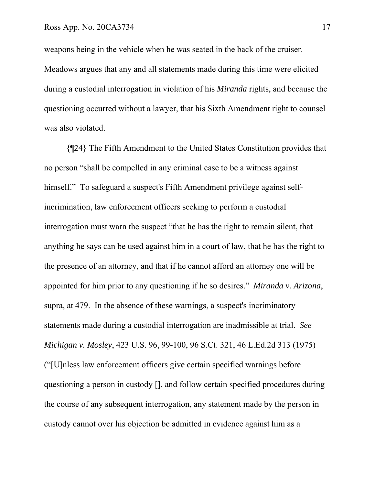weapons being in the vehicle when he was seated in the back of the cruiser. Meadows argues that any and all statements made during this time were elicited during a custodial interrogation in violation of his *Miranda* rights, and because the questioning occurred without a lawyer, that his Sixth Amendment right to counsel was also violated.

 {¶24} The Fifth Amendment to the United States Constitution provides that no person "shall be compelled in any criminal case to be a witness against himself." To safeguard a suspect's Fifth Amendment privilege against selfincrimination, law enforcement officers seeking to perform a custodial interrogation must warn the suspect "that he has the right to remain silent, that anything he says can be used against him in a court of law, that he has the right to the presence of an attorney, and that if he cannot afford an attorney one will be appointed for him prior to any questioning if he so desires." *Miranda v. Arizona*, supra, at 479. In the absence of these warnings, a suspect's incriminatory statements made during a custodial interrogation are inadmissible at trial. *See Michigan v. Mosley*, 423 U.S. 96, 99-100, 96 S.Ct. 321, 46 L.Ed.2d 313 (1975) ("[U]nless law enforcement officers give certain specified warnings before questioning a person in custody [], and follow certain specified procedures during the course of any subsequent interrogation, any statement made by the person in custody cannot over his objection be admitted in evidence against him as a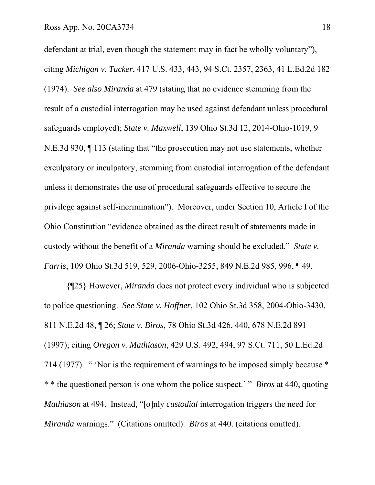defendant at trial, even though the statement may in fact be wholly voluntary"), citing *Michigan v. Tucker*, 417 U.S. 433, 443, 94 S.Ct. 2357, 2363, 41 L.Ed.2d 182 (1974). *See also Miranda* at 479 (stating that no evidence stemming from the result of a custodial interrogation may be used against defendant unless procedural safeguards employed); *State v. Maxwell*, 139 Ohio St.3d 12, 2014-Ohio-1019, 9 N.E.3d 930, ¶ 113 (stating that "the prosecution may not use statements, whether exculpatory or inculpatory, stemming from custodial interrogation of the defendant unless it demonstrates the use of procedural safeguards effective to secure the privilege against self-incrimination"). Moreover, under Section 10, Article I of the Ohio Constitution "evidence obtained as the direct result of statements made in custody without the benefit of a *Miranda* warning should be excluded." *State v. Farris*, 109 Ohio St.3d 519, 529, 2006-Ohio-3255, 849 N.E.2d 985, 996, ¶ 49.

 {¶25} However, *Miranda* does not protect every individual who is subjected to police questioning. *See State v. Hoffner*, 102 Ohio St.3d 358, 2004-Ohio-3430, 811 N.E.2d 48, ¶ 26; *State v. Biros*, 78 Ohio St.3d 426, 440, 678 N.E.2d 891 (1997); citing *Oregon v. Mathiason*, 429 U.S. 492, 494, 97 S.Ct. 711, 50 L.Ed.2d 714 (1977). " 'Nor is the requirement of warnings to be imposed simply because \* \* \* the questioned person is one whom the police suspect.' " *Biros* at 440, quoting *Mathiason* at 494. Instead, "[o]nly *custodial* interrogation triggers the need for *Miranda* warnings." (Citations omitted). *Biros* at 440. (citations omitted).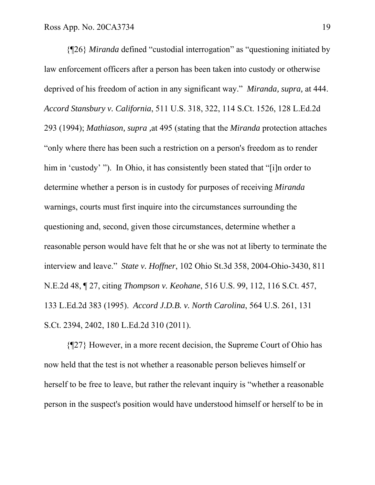{¶26} *Miranda* defined "custodial interrogation" as "questioning initiated by law enforcement officers after a person has been taken into custody or otherwise deprived of his freedom of action in any significant way." *Miranda, supra,* at 444. *Accord Stansbury v. California*, 511 U.S. 318, 322, 114 S.Ct. 1526, 128 L.Ed.2d 293 (1994); *Mathiason, supra ,*at 495 (stating that the *Miranda* protection attaches "only where there has been such a restriction on a person's freedom as to render him in 'custody' "). In Ohio, it has consistently been stated that "[i]n order to determine whether a person is in custody for purposes of receiving *Miranda*  warnings, courts must first inquire into the circumstances surrounding the questioning and, second, given those circumstances, determine whether a reasonable person would have felt that he or she was not at liberty to terminate the interview and leave." *State v. Hoffner*, 102 Ohio St.3d 358, 2004-Ohio-3430, 811 N.E.2d 48, ¶ 27, citing *Thompson v. Keohane*, 516 U.S. 99, 112, 116 S.Ct. 457, 133 L.Ed.2d 383 (1995). *Accord J.D.B. v. North Carolina*, 564 U.S. 261, 131 S.Ct. 2394, 2402, 180 L.Ed.2d 310 (2011).

 {¶27} However, in a more recent decision, the Supreme Court of Ohio has now held that the test is not whether a reasonable person believes himself or herself to be free to leave, but rather the relevant inquiry is "whether a reasonable person in the suspect's position would have understood himself or herself to be in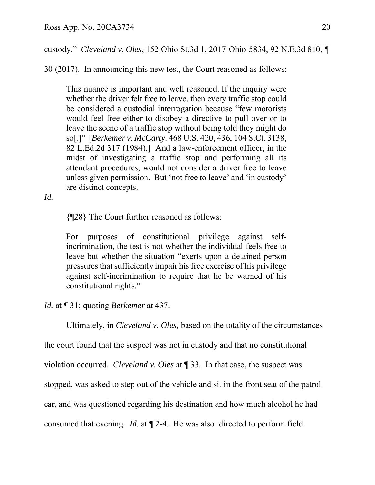custody." *Cleveland v. Oles*, 152 Ohio St.3d 1, 2017-Ohio-5834, 92 N.E.3d 810, ¶

30 (2017). In announcing this new test, the Court reasoned as follows:

This nuance is important and well reasoned. If the inquiry were whether the driver felt free to leave, then every traffic stop could be considered a custodial interrogation because "few motorists would feel free either to disobey a directive to pull over or to leave the scene of a traffic stop without being told they might do so[.]" [*Berkemer v. McCarty*, 468 U.S. 420, 436, 104 S.Ct. 3138, 82 L.Ed.2d 317 (1984).] And a law-enforcement officer, in the midst of investigating a traffic stop and performing all its attendant procedures, would not consider a driver free to leave unless given permission. But 'not free to leave' and 'in custody' are distinct concepts.

*Id.*

{¶28} The Court further reasoned as follows:

For purposes of constitutional privilege against selfincrimination, the test is not whether the individual feels free to leave but whether the situation "exerts upon a detained person pressures that sufficiently impair his free exercise of his privilege against self-incrimination to require that he be warned of his constitutional rights."

*Id.* at ¶ 31; quoting *Berkemer* at 437.

Ultimately, in *Cleveland v. Oles,* based on the totality of the circumstances

the court found that the suspect was not in custody and that no constitutional

violation occurred. *Cleveland v. Oles* at ¶ 33. In that case, the suspect was

stopped, was asked to step out of the vehicle and sit in the front seat of the patrol

car, and was questioned regarding his destination and how much alcohol he had

consumed that evening. *Id.* at ¶ 2-4. He was also directed to perform field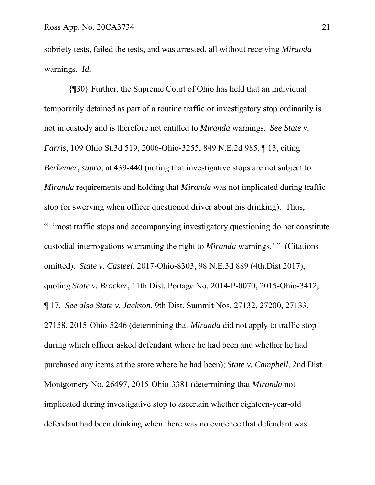sobriety tests, failed the tests, and was arrested, all without receiving *Miranda*  warnings. *Id.*

 {¶30} Further, the Supreme Court of Ohio has held that an individual temporarily detained as part of a routine traffic or investigatory stop ordinarily is not in custody and is therefore not entitled to *Miranda* warnings. *See State v. Farris*, 109 Ohio St.3d 519, 2006-Ohio-3255, 849 N.E.2d 985, ¶ 13, citing *Berkemer*, *supra*, at 439-440 (noting that investigative stops are not subject to *Miranda* requirements and holding that *Miranda* was not implicated during traffic stop for swerving when officer questioned driver about his drinking). Thus, " 'most traffic stops and accompanying investigatory questioning do not constitute custodial interrogations warranting the right to *Miranda* warnings.' " (Citations omitted). *State v. Casteel*, 2017-Ohio-8303, 98 N.E.3d 889 (4th.Dist 2017), quoting *State v. Brocker*, 11th Dist. Portage No. 2014-P-0070, 2015-Ohio-3412, ¶ 17. *See also State v. Jackson*, 9th Dist. Summit Nos. 27132, 27200, 27133, 27158, 2015-Ohio-5246 (determining that *Miranda* did not apply to traffic stop during which officer asked defendant where he had been and whether he had purchased any items at the store where he had been); *State v. Campbell*, 2nd Dist. Montgomery No. 26497, 2015-Ohio-3381 (determining that *Miranda* not implicated during investigative stop to ascertain whether eighteen-year-old defendant had been drinking when there was no evidence that defendant was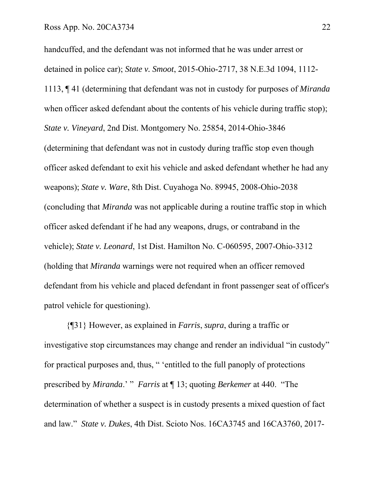handcuffed, and the defendant was not informed that he was under arrest or detained in police car); *State v. Smoot*, 2015-Ohio-2717, 38 N.E.3d 1094, 1112- 1113, ¶ 41 (determining that defendant was not in custody for purposes of *Miranda* when officer asked defendant about the contents of his vehicle during traffic stop); *State v. Vineyard*, 2nd Dist. Montgomery No. 25854, 2014-Ohio-3846 (determining that defendant was not in custody during traffic stop even though officer asked defendant to exit his vehicle and asked defendant whether he had any weapons); *State v. Ware*, 8th Dist. Cuyahoga No. 89945, 2008-Ohio-2038 (concluding that *Miranda* was not applicable during a routine traffic stop in which officer asked defendant if he had any weapons, drugs, or contraband in the vehicle); *State v. Leonard*, 1st Dist. Hamilton No. C-060595, 2007-Ohio-3312 (holding that *Miranda* warnings were not required when an officer removed defendant from his vehicle and placed defendant in front passenger seat of officer's patrol vehicle for questioning).

{¶31} However, as explained in *Farris*, *supra*, during a traffic or investigative stop circumstances may change and render an individual "in custody" for practical purposes and, thus, " 'entitled to the full panoply of protections prescribed by *Miranda*.' " *Farris* at ¶ 13; quoting *Berkemer* at 440. "The determination of whether a suspect is in custody presents a mixed question of fact and law." *State v. Dukes*, 4th Dist. Scioto Nos. 16CA3745 and 16CA3760, 2017-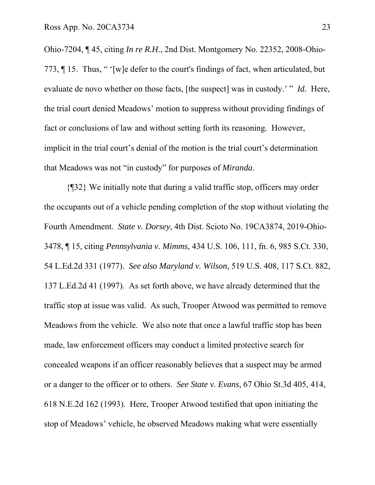Ohio-7204, ¶ 45, citing *In re R.H.*, 2nd Dist. Montgomery No. 22352, 2008-Ohio-773, ¶ 15. Thus, " '[w]e defer to the court's findings of fact, when articulated, but evaluate de novo whether on those facts, [the suspect] was in custody.' " *Id.* Here, the trial court denied Meadows' motion to suppress without providing findings of fact or conclusions of law and without setting forth its reasoning. However, implicit in the trial court's denial of the motion is the trial court's determination that Meadows was not "in custody" for purposes of *Miranda*.

 {¶32} We initially note that during a valid traffic stop, officers may order the occupants out of a vehicle pending completion of the stop without violating the Fourth Amendment. *State v. Dorsey*, 4th Dist. Scioto No. 19CA3874, 2019-Ohio-3478, ¶ 15, citing *Pennsylvania v. Mimms*, 434 U.S. 106, 111, fn. 6, 985 S.Ct. 330, 54 L.Ed.2d 331 (1977). *See also Maryland v. Wilson*, 519 U.S. 408, 117 S.Ct. 882, 137 L.Ed.2d 41 (1997). As set forth above, we have already determined that the traffic stop at issue was valid. As such, Trooper Atwood was permitted to remove Meadows from the vehicle. We also note that once a lawful traffic stop has been made, law enforcement officers may conduct a limited protective search for concealed weapons if an officer reasonably believes that a suspect may be armed or a danger to the officer or to others. *See State v. Evans*, 67 Ohio St.3d 405, 414, 618 N.E.2d 162 (1993). Here, Trooper Atwood testified that upon initiating the stop of Meadows' vehicle, he observed Meadows making what were essentially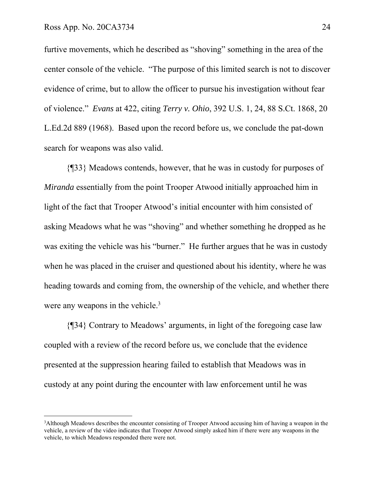furtive movements, which he described as "shoving" something in the area of the center console of the vehicle. "The purpose of this limited search is not to discover evidence of crime, but to allow the officer to pursue his investigation without fear of violence." *Evans* at 422, citing *Terry v. Ohio*, 392 U.S. 1, 24, 88 S.Ct. 1868, 20 L.Ed.2d 889 (1968). Based upon the record before us, we conclude the pat-down search for weapons was also valid.

 {¶33} Meadows contends, however, that he was in custody for purposes of *Miranda* essentially from the point Trooper Atwood initially approached him in light of the fact that Trooper Atwood's initial encounter with him consisted of asking Meadows what he was "shoving" and whether something he dropped as he was exiting the vehicle was his "burner." He further argues that he was in custody when he was placed in the cruiser and questioned about his identity, where he was heading towards and coming from, the ownership of the vehicle, and whether there were any weapons in the vehicle.<sup>3</sup>

 {¶34} Contrary to Meadows' arguments, in light of the foregoing case law coupled with a review of the record before us, we conclude that the evidence presented at the suppression hearing failed to establish that Meadows was in custody at any point during the encounter with law enforcement until he was

<sup>3</sup> Although Meadows describes the encounter consisting of Trooper Atwood accusing him of having a weapon in the vehicle, a review of the video indicates that Trooper Atwood simply asked him if there were any weapons in the vehicle, to which Meadows responded there were not.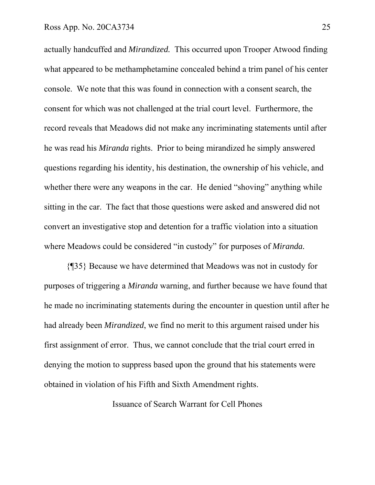actually handcuffed and *Mirandized.* This occurred upon Trooper Atwood finding what appeared to be methamphetamine concealed behind a trim panel of his center console. We note that this was found in connection with a consent search, the consent for which was not challenged at the trial court level. Furthermore, the record reveals that Meadows did not make any incriminating statements until after he was read his *Miranda* rights. Prior to being mirandized he simply answered questions regarding his identity, his destination, the ownership of his vehicle, and whether there were any weapons in the car. He denied "shoving" anything while sitting in the car. The fact that those questions were asked and answered did not convert an investigative stop and detention for a traffic violation into a situation where Meadows could be considered "in custody" for purposes of *Miranda.*

 {¶35} Because we have determined that Meadows was not in custody for purposes of triggering a *Miranda* warning, and further because we have found that he made no incriminating statements during the encounter in question until after he had already been *Mirandized*, we find no merit to this argument raised under his first assignment of error. Thus, we cannot conclude that the trial court erred in denying the motion to suppress based upon the ground that his statements were obtained in violation of his Fifth and Sixth Amendment rights.

Issuance of Search Warrant for Cell Phones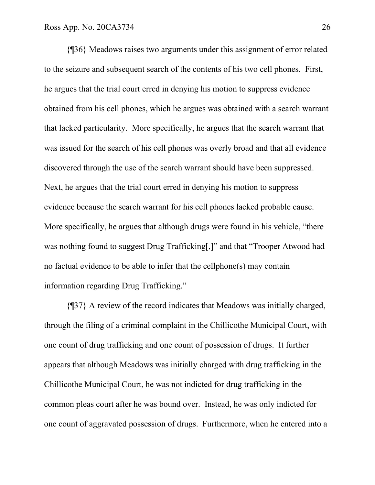{¶36} Meadows raises two arguments under this assignment of error related to the seizure and subsequent search of the contents of his two cell phones. First, he argues that the trial court erred in denying his motion to suppress evidence obtained from his cell phones, which he argues was obtained with a search warrant that lacked particularity. More specifically, he argues that the search warrant that was issued for the search of his cell phones was overly broad and that all evidence discovered through the use of the search warrant should have been suppressed. Next, he argues that the trial court erred in denying his motion to suppress evidence because the search warrant for his cell phones lacked probable cause. More specifically, he argues that although drugs were found in his vehicle, "there was nothing found to suggest Drug Trafficking[,]" and that "Trooper Atwood had no factual evidence to be able to infer that the cellphone(s) may contain information regarding Drug Trafficking."

 {¶37} A review of the record indicates that Meadows was initially charged, through the filing of a criminal complaint in the Chillicothe Municipal Court, with one count of drug trafficking and one count of possession of drugs. It further appears that although Meadows was initially charged with drug trafficking in the Chillicothe Municipal Court, he was not indicted for drug trafficking in the common pleas court after he was bound over. Instead, he was only indicted for one count of aggravated possession of drugs. Furthermore, when he entered into a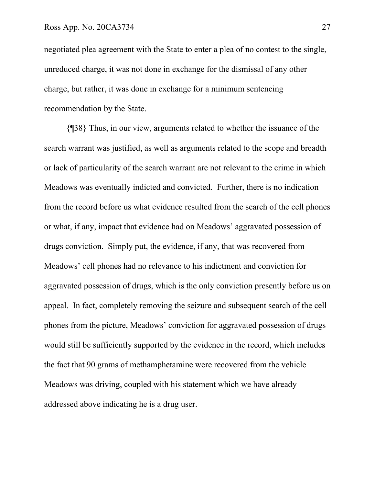negotiated plea agreement with the State to enter a plea of no contest to the single, unreduced charge, it was not done in exchange for the dismissal of any other charge, but rather, it was done in exchange for a minimum sentencing recommendation by the State.

 {¶38} Thus, in our view, arguments related to whether the issuance of the search warrant was justified, as well as arguments related to the scope and breadth or lack of particularity of the search warrant are not relevant to the crime in which Meadows was eventually indicted and convicted. Further, there is no indication from the record before us what evidence resulted from the search of the cell phones or what, if any, impact that evidence had on Meadows' aggravated possession of drugs conviction. Simply put, the evidence, if any, that was recovered from Meadows' cell phones had no relevance to his indictment and conviction for aggravated possession of drugs, which is the only conviction presently before us on appeal. In fact, completely removing the seizure and subsequent search of the cell phones from the picture, Meadows' conviction for aggravated possession of drugs would still be sufficiently supported by the evidence in the record, which includes the fact that 90 grams of methamphetamine were recovered from the vehicle Meadows was driving, coupled with his statement which we have already addressed above indicating he is a drug user.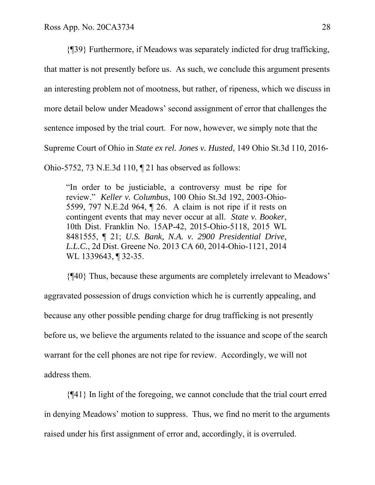{¶39} Furthermore, if Meadows was separately indicted for drug trafficking, that matter is not presently before us. As such, we conclude this argument presents an interesting problem not of mootness, but rather, of ripeness, which we discuss in more detail below under Meadows' second assignment of error that challenges the sentence imposed by the trial court. For now, however, we simply note that the Supreme Court of Ohio in *State ex rel. Jones v. Husted*, 149 Ohio St.3d 110, 2016- Ohio-5752, 73 N.E.3d 110, ¶ 21 has observed as follows:

"In order to be justiciable, a controversy must be ripe for review." *Keller v. Columbus*, 100 Ohio St.3d 192, 2003-Ohio-5599, 797 N.E.2d 964, ¶ 26. A claim is not ripe if it rests on contingent events that may never occur at all. *State v. Booker*, 10th Dist. Franklin No. 15AP-42, 2015-Ohio-5118, 2015 WL 8481555, ¶ 21; *U.S. Bank, N.A. v. 2900 Presidential Drive, L.L.C.*, 2d Dist. Greene No. 2013 CA 60, 2014-Ohio-1121, 2014 WL 1339643, ¶ 32-35.

 {¶40} Thus, because these arguments are completely irrelevant to Meadows' aggravated possession of drugs conviction which he is currently appealing, and because any other possible pending charge for drug trafficking is not presently before us, we believe the arguments related to the issuance and scope of the search warrant for the cell phones are not ripe for review. Accordingly, we will not address them.

 {¶41} In light of the foregoing, we cannot conclude that the trial court erred in denying Meadows' motion to suppress. Thus, we find no merit to the arguments raised under his first assignment of error and, accordingly, it is overruled.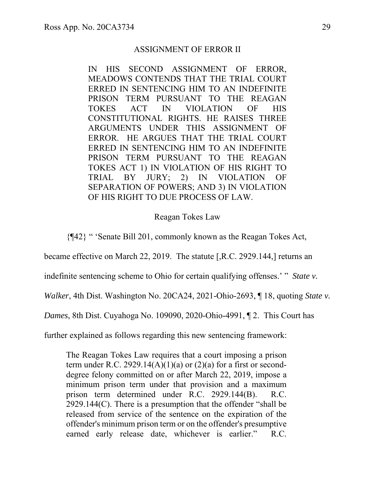#### ASSIGNMENT OF ERROR II

IN HIS SECOND ASSIGNMENT OF ERROR, MEADOWS CONTENDS THAT THE TRIAL COURT ERRED IN SENTENCING HIM TO AN INDEFINITE PRISON TERM PURSUANT TO THE REAGAN TOKES ACT IN VIOLATION OF HIS CONSTITUTIONAL RIGHTS. HE RAISES THREE ARGUMENTS UNDER THIS ASSIGNMENT OF ERROR. HE ARGUES THAT THE TRIAL COURT ERRED IN SENTENCING HIM TO AN INDEFINITE PRISON TERM PURSUANT TO THE REAGAN TOKES ACT 1) IN VIOLATION OF HIS RIGHT TO TRIAL BY JURY; 2) IN VIOLATION OF SEPARATION OF POWERS; AND 3) IN VIOLATION OF HIS RIGHT TO DUE PROCESS OF LAW.

#### Reagan Tokes Law

{¶42} " 'Senate Bill 201, commonly known as the Reagan Tokes Act,

became effective on March 22, 2019. The statute [,R.C. 2929.144,] returns an

indefinite sentencing scheme to Ohio for certain qualifying offenses.' " *State v.* 

*Walker*, 4th Dist. Washington No. 20CA24, 2021-Ohio-2693, ¶ 18, quoting *State v.* 

*Dames*, 8th Dist. Cuyahoga No. 109090, 2020-Ohio-4991, ¶ 2. This Court has

further explained as follows regarding this new sentencing framework:

The Reagan Tokes Law requires that a court imposing a prison term under R.C. 2929.14(A)(1)(a) or  $(2)(a)$  for a first or seconddegree felony committed on or after March 22, 2019, impose a minimum prison term under that provision and a maximum prison term determined under R.C. 2929.144(B). R.C. 2929.144(C). There is a presumption that the offender "shall be released from service of the sentence on the expiration of the offender's minimum prison term or on the offender's presumptive earned early release date, whichever is earlier." R.C.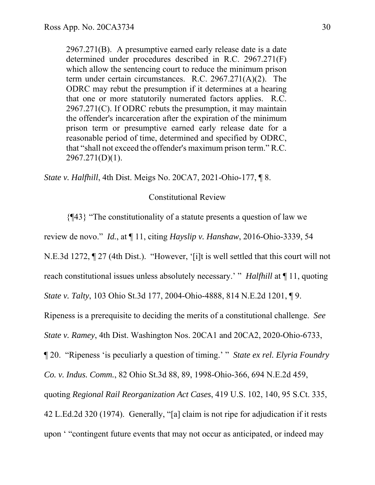2967.271(B). A presumptive earned early release date is a date determined under procedures described in R.C. 2967.271(F) which allow the sentencing court to reduce the minimum prison term under certain circumstances. R.C. 2967.271(A)(2). The ODRC may rebut the presumption if it determines at a hearing that one or more statutorily numerated factors applies. R.C. 2967.271(C). If ODRC rebuts the presumption, it may maintain the offender's incarceration after the expiration of the minimum prison term or presumptive earned early release date for a reasonable period of time, determined and specified by ODRC, that "shall not exceed the offender's maximum prison term." R.C. 2967.271(D)(1).

*State v. Halfhill*, 4th Dist. Meigs No. 20CA7, 2021-Ohio-177, ¶ 8.

### Constitutional Review

{¶43} "The constitutionality of a statute presents a question of law we

review de novo." *Id.*, at ¶ 11, citing *Hayslip v. Hanshaw*, 2016-Ohio-3339, 54

N.E.3d 1272, ¶ 27 (4th Dist.). "However, '[i]t is well settled that this court will not

reach constitutional issues unless absolutely necessary.' " *Halfhill* at ¶ 11, quoting

*State v. Talty*, 103 Ohio St.3d 177, 2004-Ohio-4888, 814 N.E.2d 1201, ¶ 9.

Ripeness is a prerequisite to deciding the merits of a constitutional challenge. *See* 

*State v. Ramey*, 4th Dist. Washington Nos. 20CA1 and 20CA2, 2020-Ohio-6733,

¶ 20. "Ripeness 'is peculiarly a question of timing.' " *State ex rel. Elyria Foundry* 

*Co. v. Indus. Comm.*, 82 Ohio St.3d 88, 89, 1998-Ohio-366, 694 N.E.2d 459,

quoting *Regional Rail Reorganization Act Cases*, 419 U.S. 102, 140, 95 S.Ct. 335,

42 L.Ed.2d 320 (1974). Generally, "[a] claim is not ripe for adjudication if it rests

upon ' "contingent future events that may not occur as anticipated, or indeed may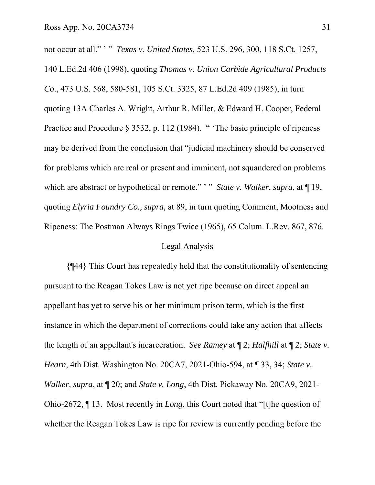not occur at all." ' " *Texas v. United States*, 523 U.S. 296, 300, 118 S.Ct. 1257, 140 L.Ed.2d 406 (1998), quoting *Thomas v. Union Carbide Agricultural Products Co*., 473 U.S. 568, 580-581, 105 S.Ct. 3325, 87 L.Ed.2d 409 (1985), in turn quoting 13A Charles A. Wright, Arthur R. Miller, & Edward H. Cooper, Federal Practice and Procedure § 3532, p. 112 (1984). "The basic principle of ripeness may be derived from the conclusion that "judicial machinery should be conserved for problems which are real or present and imminent, not squandered on problems which are abstract or hypothetical or remote." " *State v. Walker*, *supra*, at  $\P$  19, quoting *Elyria Foundry Co., supra,* at 89, in turn quoting Comment, Mootness and Ripeness: The Postman Always Rings Twice (1965), 65 Colum. L.Rev. 867, 876.

### Legal Analysis

 {¶44} This Court has repeatedly held that the constitutionality of sentencing pursuant to the Reagan Tokes Law is not yet ripe because on direct appeal an appellant has yet to serve his or her minimum prison term, which is the first instance in which the department of corrections could take any action that affects the length of an appellant's incarceration. *See Ramey* at ¶ 2; *Halfhill* at ¶ 2; *State v. Hearn*, 4th Dist. Washington No. 20CA7, 2021-Ohio-594, at ¶ 33, 34; *State v. Walker, supra*, at ¶ 20; and *State v. Long*, 4th Dist. Pickaway No. 20CA9, 2021- Ohio-2672, ¶ 13. Most recently in *Long*, this Court noted that "[t]he question of whether the Reagan Tokes Law is ripe for review is currently pending before the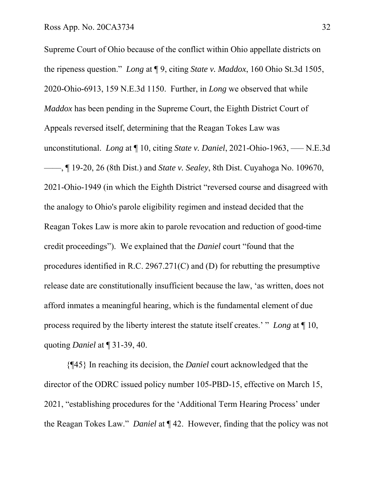Supreme Court of Ohio because of the conflict within Ohio appellate districts on the ripeness question." *Long* at ¶ 9, citing *State v. Maddox*, 160 Ohio St.3d 1505, 2020-Ohio-6913, 159 N.E.3d 1150. Further, in *Long* we observed that while *Maddox* has been pending in the Supreme Court, the Eighth District Court of Appeals reversed itself, determining that the Reagan Tokes Law was unconstitutional. *Long* at ¶ 10, citing *State v. Daniel*, 2021-Ohio-1963, ––– N.E.3d ––––, ¶ 19-20, 26 (8th Dist.) and *State v. Sealey*, 8th Dist. Cuyahoga No. 109670, 2021-Ohio-1949 (in which the Eighth District "reversed course and disagreed with the analogy to Ohio's parole eligibility regimen and instead decided that the Reagan Tokes Law is more akin to parole revocation and reduction of good-time credit proceedings"). We explained that the *Daniel* court "found that the procedures identified in R.C. 2967.271(C) and (D) for rebutting the presumptive release date are constitutionally insufficient because the law, 'as written, does not afford inmates a meaningful hearing, which is the fundamental element of due process required by the liberty interest the statute itself creates.' " *Long* at ¶ 10, quoting *Daniel* at ¶ 31-39, 40.

 {¶45} In reaching its decision, the *Daniel* court acknowledged that the director of the ODRC issued policy number 105-PBD-15, effective on March 15, 2021, "establishing procedures for the 'Additional Term Hearing Process' under the Reagan Tokes Law." *Daniel* at ¶ 42. However, finding that the policy was not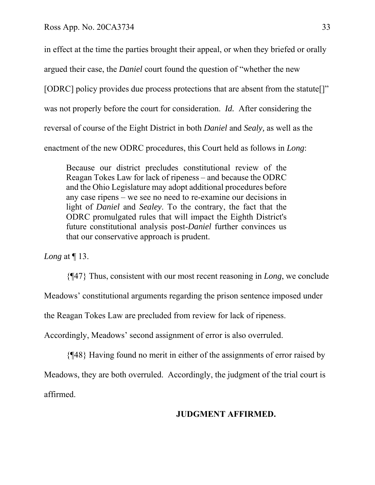in effect at the time the parties brought their appeal, or when they briefed or orally

argued their case, the *Daniel* court found the question of "whether the new

[ODRC] policy provides due process protections that are absent from the statute[]"

was not properly before the court for consideration. *Id.* After considering the

reversal of course of the Eight District in both *Daniel* and *Sealy,* as well as the

enactment of the new ODRC procedures, this Court held as follows in *Long*:

Because our district precludes constitutional review of the Reagan Tokes Law for lack of ripeness – and because the ODRC and the Ohio Legislature may adopt additional procedures before any case ripens – we see no need to re-examine our decisions in light of *Daniel* and *Sealey*. To the contrary, the fact that the ODRC promulgated rules that will impact the Eighth District's future constitutional analysis post-*Daniel* further convinces us that our conservative approach is prudent.

*Long* at ¶ 13.

{¶47} Thus, consistent with our most recent reasoning in *Long*, we conclude

Meadows' constitutional arguments regarding the prison sentence imposed under

the Reagan Tokes Law are precluded from review for lack of ripeness.

Accordingly, Meadows' second assignment of error is also overruled.

 {¶48} Having found no merit in either of the assignments of error raised by Meadows, they are both overruled. Accordingly, the judgment of the trial court is affirmed.

## **JUDGMENT AFFIRMED.**